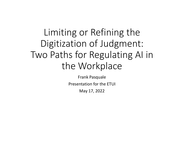# Limiting or Refining the Digitization of Judgment: Two Paths for Regulating AI in the Workplace

Frank Pasquale Presentation for the ETUIMay 17, 2022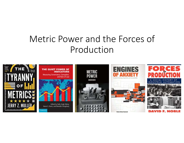# Metric Power and the Forces of Production

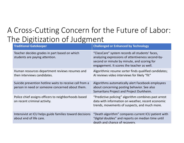### A Cross‐Cutting Concern for the Future of Labor: The Digitization of Judgment

| <b>Traditional Gatekeeper</b>                                                                              | <b>Challenged or Enhanced by Technology</b>                                                                                                                                                       |  |
|------------------------------------------------------------------------------------------------------------|---------------------------------------------------------------------------------------------------------------------------------------------------------------------------------------------------|--|
| Teacher decides grades in part based on which<br>students are paying attention.                            | "ClassCare" system records all students' faces,<br>analyzing expressions of attentiveness second-by-<br>second or minute by minute, and scoring for<br>engagement. It scores the teacher as well. |  |
| Human resources department reviews resumes and<br>then interviews candidates.                              | Algorithmic resume sorter finds qualified candidates;<br>AI reviews video interviews for likely "fit"                                                                                             |  |
| Suicide prevention hotline waits to receive call from a<br>person in need or someone concerned about them. | Algorithms automatically alert Facebook employees<br>about concerning posting behavior. See also<br>Samaritans Project and Project Durkheim.                                                      |  |
| Police chief assigns officers to neighborhoods based<br>on recent criminal activity.                       | "Predictive policing" algorithm combines past arrest<br>data with information on weather, recent economic<br>trends, movements of suspects, and much more.                                        |  |
| Intensivist at ICU helps guide families toward decisions<br>about end of life care.                        | "Death algorithm" compares current ICU patient with<br>"digital doubles" and reports on median time until<br>death and chance of recovery.                                                        |  |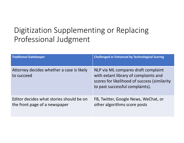# Digitization Supplementing or Replacing Professional Judgment

| <b>Traditional Gatekeeper</b>                                             | <b>Challenged or Enhanced by Technological Scoring</b>                                                                                                          |
|---------------------------------------------------------------------------|-----------------------------------------------------------------------------------------------------------------------------------------------------------------|
| Attorney decides whether a case is likely<br>to succeed                   | NLP via ML compares draft complaint<br>with extant library of complaints and<br>scores for likelihood of success (similarity<br>to past successful complaints). |
| Editor decides what stories should be on<br>the front page of a newspaper | FB, Twitter, Google News, WeChat, or<br>other algorithms score posts                                                                                            |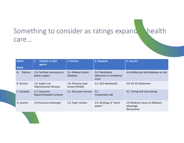#### Something to consider as ratings expand bealth care…

| <b>Raters</b><br><b>Rated</b> | <b>Patients or their</b><br>1.<br>agents    | 2. Doctors                            | 3. Hospitals                                        | 4. Insurers                                                |
|-------------------------------|---------------------------------------------|---------------------------------------|-----------------------------------------------------|------------------------------------------------------------|
| <b>Patients</b><br>А.         | 1.A. YouTube comments on<br>plastic surgery | 2.A. Medical Justice<br>Database      | 3.A. Medication<br>adherence or compliance<br>score | 4.A Intelliscript and databases on risk                    |
| <b>B.</b> Doctors             | 1.B. Angie's List<br>Yelp/Consumer Reviews  | 2.B. Physician peer<br>review (HCQIA) | 3.C. ACO dashboards                                 | 4.B. NY AG Settlement                                      |
| C. Hospitals                  | 1.C. Consumer<br>Reports/Hospital Compare   | 2.C. Discussion forums                | 3.C.<br>Comparative ads                             | 4.C. Tiering and cost-sharing                              |
| D. Insurers                   | 1.D Insurance exchanges                     | 2.D. Payer reviews                    | 3.D. Rankings of "worst"<br>payers"                 | 4.D Medicare views on Medicare<br>advantage<br>Reinsurance |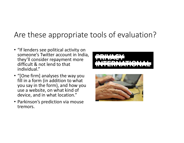### Are these appropriate tools of evaluation?

• "If lenders see political activity on someone's Twitter account in India, they'll consider repayment more difficult & not lend to that individual."



- "[One firm] analyses the way you fill in a form (in addition to what you say in the form), and how you use a website, on what kind of device, and in what location."
- Parkinson's prediction via mouse tremors.

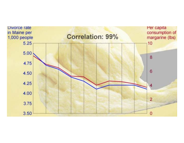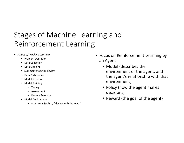# Stages of Machine Learning and Reinforcement Learning

- *Stages of Machine Learning*
	- Problem Definition
	- Data Collection
	- Data Cleaning
	- Summary Statistics Review
	- •Data Partitioning
	- Model Selection
	- Model Training
		- Tuning
		- Assessment
		- Feature Selection
	- Model Deployment
		- From Lehr & Ohm, "Playing with the Data"
- Focus on Reinforcement Learning by an Agent
	- Model (describes the environment of the agent, and the agent's relationship with that environment)
	- Policy (how the agent makes decisions)
	- Reward (the goal of the agent)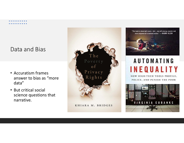#### Data and Bias

- Accuratism frames answer to bias as "more data"
- But critical social science questions that narrative.





# **AUTOMATING INEQUALITY**

HOW HIGH-TECH TOOLS PROFILE. POLICE, AND PUNISH THE POOR

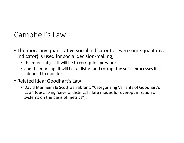#### Campbell's Law

- The more any quantitative social indicator (or even some qualitative indicator) is used for social decision‐making,
	- the more subject it will be to corruption pressures
	- and the more apt it will be to distort and corrupt the social processes it is intended to monitor.
- Related idea: Goodhart's Law
	- David Manheim & Scott Garrabrant, "Categorizing Variants of Goodhart's Law" (describing "several distinct failure modes for overoptimization of systems on the basis of metrics").